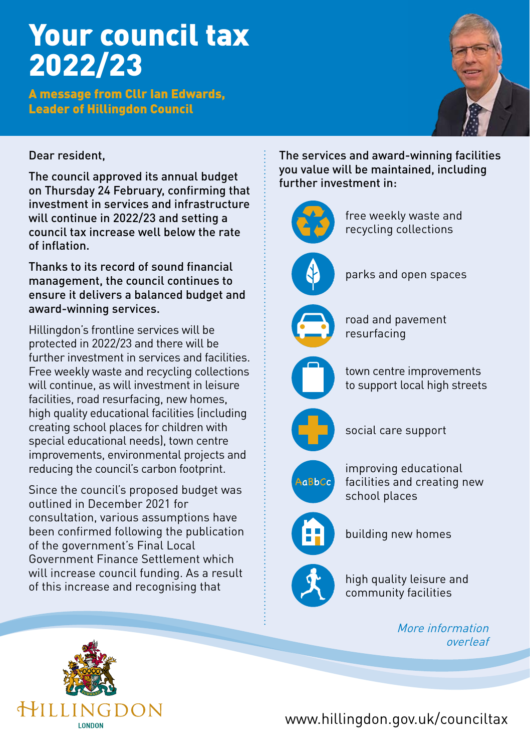# Your council tax 2022/23

A message from Cllr Ian Edwards, Leader of Hillingdon Council



## Dear resident,

The council approved its annual budget on Thursday 24 February, confirming that investment in services and infrastructure will continue in 2022/23 and setting a council tax increase well below the rate of inflation.

Thanks to its record of sound financial management, the council continues to ensure it delivers a balanced budget and award-winning services.

Hillingdon's frontline services will be protected in 2022/23 and there will be further investment in services and facilities. Free weekly waste and recycling collections will continue, as will investment in leisure facilities, road resurfacing, new homes, high quality educational facilities (including creating school places for children with special educational needs), town centre improvements, environmental projects and reducing the council's carbon footprint.

Since the council's proposed budget was outlined in December 2021 for consultation, various assumptions have been confirmed following the publication of the government's Final Local Government Finance Settlement which will increase council funding. As a result of this increase and recognising that

The services and award-winning facilities you value will be maintained, including further investment in:



parks and open spaces

road and pavement resurfacing

town centre improvements to support local high streets



social care support



improving educational facilities and creating new school places



building new homes



high quality leisure and community facilities

> More information overleaf



www.hillingdon.gov.uk/counciltax